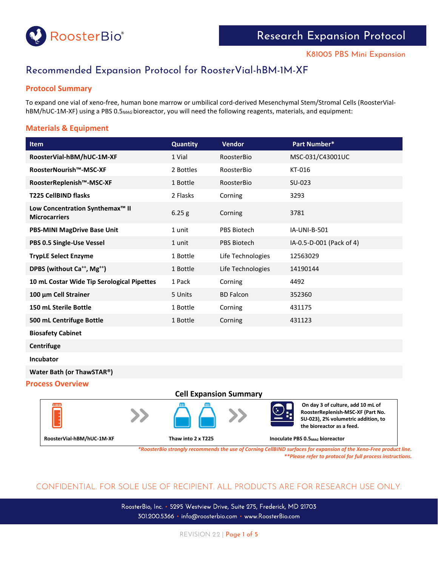

# Recommended Expansion Protocol for RoosterVial-hBM-1M-XF

## **Protocol Summary**

To expand one vial of xeno-free, human bone marrow or umbilical cord-derived Mesenchymal Stem/Stromal Cells (RoosterVialhBM/hUC-1M-XF) using a PBS 0.5*MAG* bioreactor, you will need the following reagents, materials, and equipment:

## **Materials & Equipment**

| <b>Item</b>                                                         | Quantity  | <b>Vendor</b>      | Part Number*             |
|---------------------------------------------------------------------|-----------|--------------------|--------------------------|
| RoosterVial-hBM/hUC-1M-XF                                           | 1 Vial    | RoosterBio         | MSC-031/C43001UC         |
| RoosterNourish™-MSC-XF                                              | 2 Bottles | RoosterBio         | KT-016                   |
| RoosterReplenish™-MSC-XF                                            | 1 Bottle  | RoosterBio         | SU-023                   |
| <b>T225 CellBIND flasks</b>                                         | 2 Flasks  | Corning            | 3293                     |
| Low Concentration Synthemax <sup>™</sup> II<br><b>Microcarriers</b> | 6.25 g    | Corning            | 3781                     |
| <b>PBS-MINI MagDrive Base Unit</b>                                  | 1 unit    | <b>PBS Biotech</b> | <b>IA-UNI-B-501</b>      |
| PBS 0.5 Single-Use Vessel                                           | 1 unit    | PBS Biotech        | IA-0.5-D-001 (Pack of 4) |
| <b>TrypLE Select Enzyme</b>                                         | 1 Bottle  | Life Technologies  | 12563029                 |
| DPBS (without Ca <sup>++</sup> , Mg <sup>++</sup> )                 | 1 Bottle  | Life Technologies  | 14190144                 |
| 10 mL Costar Wide Tip Serological Pipettes                          | 1 Pack    | Corning            | 4492                     |
| 100 μm Cell Strainer                                                | 5 Units   | <b>BD Falcon</b>   | 352360                   |
| 150 mL Sterile Bottle                                               | 1 Bottle  | Corning            | 431175                   |
| 500 mL Centrifuge Bottle                                            | 1 Bottle  | Corning            | 431123                   |
| <b>Biosafety Cabinet</b>                                            |           |                    |                          |

**Centrifuge** 

**Incubator** 

**Water Bath (or ThawSTAR®)**

#### **Process Overview**



*\*RoosterBio strongly recommends the use of Corning CellBIND surfaces for expansion of the Xeno-Free product line. \*\*Please refer to protocol for full process instructions.*

## CONFIDENTIAL. FOR SOLE USE OF RECIPIENT. ALL PRODUCTS ARE FOR RESEARCH USE ONLY.

RoosterBio, Inc. • 5295 Westview Drive, Suite 275, Frederick, MD 21703 301.200.5366 • info@roosterbio.com • www.RoosterBio.com

REVISION 2.2 | Page 1 of 5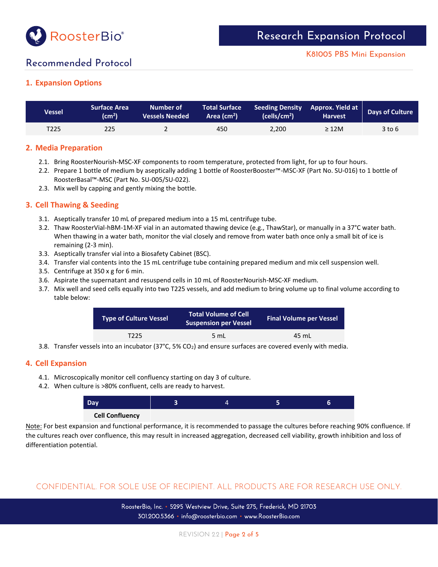

## K81005 PBS Mini Expansion

## Recommended Protocol

## **1. Expansion Options**

| <b>Vessel</b>    | <b>Surface Area</b><br>$\text{(cm}^2)$ | Number of<br>Vessels Needed | <b>Total Surface</b><br>Area (cm <sup>2</sup> ) | Seeding Density Approx. Yield at<br>(cells/cm <sup>2</sup> ) | <b>Harvest</b> | Days of Culture |
|------------------|----------------------------------------|-----------------------------|-------------------------------------------------|--------------------------------------------------------------|----------------|-----------------|
| T <sub>225</sub> | 225                                    |                             | 450                                             | 2.200                                                        | $\geq$ 12M     | $3$ to $6$      |

### **2. Media Preparation**

- 2.1. Bring RoosterNourish-MSC-XF components to room temperature, protected from light, for up to four hours.
- 2.2. Prepare 1 bottle of medium by aseptically adding 1 bottle of RoosterBooster™-MSC-XF (Part No. SU-016) to 1 bottle of RoosterBasal™-MSC (Part No. SU-005/SU-022).
- 2.3. Mix well by capping and gently mixing the bottle.

### **3. Cell Thawing & Seeding**

- 3.1. Aseptically transfer 10 mL of prepared medium into a 15 mL centrifuge tube.
- 3.2. Thaw RoosterVial-hBM-1M-XF vial in an automated thawing device (e.g., ThawStar), or manually in a 37°C water bath. When thawing in a water bath, monitor the vial closely and remove from water bath once only a small bit of ice is remaining (2-3 min).
- 3.3. Aseptically transfer vial into a Biosafety Cabinet (BSC).
- 3.4. Transfer vial contents into the 15 mL centrifuge tube containing prepared medium and mix cell suspension well.
- 3.5. Centrifuge at 350 x g for 6 min.
- 3.6. Aspirate the supernatant and resuspend cells in 10 mL of RoosterNourish-MSC-XF medium.
- 3.7. Mix well and seed cells equally into two T225 vessels, and add medium to bring volume up to final volume according to table below:

| <b>Type of Culture Vessel</b> | <b>Total Volume of Cell</b><br><b>Suspension per Vessel</b> | <b>Final Volume per Vessel</b> |  |
|-------------------------------|-------------------------------------------------------------|--------------------------------|--|
| T225                          | $5 \text{ ml}$                                              | 45 mL                          |  |

3.8. Transfer vessels into an incubator (37°C, 5% CO2) and ensure surfaces are covered evenly with media.

#### **4. Cell Expansion**

- 4.1. Microscopically monitor cell confluency starting on day 3 of culture.
- 4.2. When culture is >80% confluent, cells are ready to harvest.



Note: For best expansion and functional performance, it is recommended to passage the cultures before reaching 90% confluence. If the cultures reach over confluence, this may result in increased aggregation, decreased cell viability, growth inhibition and loss of differentiation potential.

## CONFIDENTIAL. FOR SOLE USE OF RECIPIENT. ALL PRODUCTS ARE FOR RESEARCH USE ONLY.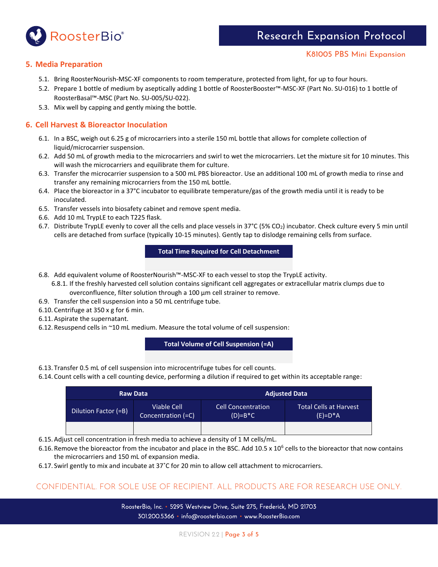

## **5. Media Preparation**

- 5.1. Bring RoosterNourish-MSC-XF components to room temperature, protected from light, for up to four hours.
- 5.2. Prepare 1 bottle of medium by aseptically adding 1 bottle of RoosterBooster™-MSC-XF (Part No. SU-016) to 1 bottle of RoosterBasal™-MSC (Part No. SU-005/SU-022).
- 5.3. Mix well by capping and gently mixing the bottle.

## **6. Cell Harvest & Bioreactor Inoculation**

- 6.1. In a BSC, weigh out 6.25 g of microcarriers into a sterile 150 mL bottle that allows for complete collection of liquid/microcarrier suspension.
- 6.2. Add 50 mL of growth media to the microcarriers and swirl to wet the microcarriers. Let the mixture sit for 10 minutes. This will wash the microcarriers and equilibrate them for culture.
- 6.3. Transfer the microcarrier suspension to a 500 mL PBS bioreactor. Use an additional 100 mL of growth media to rinse and transfer any remaining microcarriers from the 150 mL bottle.
- 6.4. Place the bioreactor in a 37°C incubator to equilibrate temperature/gas of the growth media until it is ready to be inoculated.
- 6.5. Transfer vessels into biosafety cabinet and remove spent media.
- 6.6. Add 10 mL TrypLE to each T225 flask.
- 6.7. Distribute TrypLE evenly to cover all the cells and place vessels in 37°C (5% CO2) incubator. Check culture every 5 min until cells are detached from surface (typically 10-15 minutes). Gently tap to dislodge remaining cells from surface.

## **Total Time Required for Cell Detachment**

- 6.8. Add equivalent volume of RoosterNourish™-MSC-XF to each vessel to stop the TrypLE activity.
	- 6.8.1. If the freshly harvested cell solution contains significant cell aggregates or extracellular matrix clumps due to overconfluence, filter solution through a 100 µm cell strainer to remove.
- 6.9. Transfer the cell suspension into a 50 mL centrifuge tube.
- 6.10. Centrifuge at 350 x g for 6 min.
- 6.11. Aspirate the supernatant.
- 6.12. Resuspend cells in ~10 mL medium. Measure the total volume of cell suspension:

**Total Volume of Cell Suspension (=A)**

- 6.13. Transfer 0.5 mL of cell suspension into microcentrifuge tubes for cell counts.
- 6.14. Count cells with a cell counting device, performing a dilution if required to get within its acceptable range:

|                                                                  | <b>Raw Data</b> | <b>Adjusted Data</b>                   |                                      |  |
|------------------------------------------------------------------|-----------------|----------------------------------------|--------------------------------------|--|
| <b>Viable Cell</b><br>Dilution Factor (=B)<br>Concentration (=C) |                 | <b>Cell Concentration</b><br>$(D)=B*C$ | Total Cells at Harvest<br>$(E)=D^*A$ |  |
|                                                                  |                 |                                        |                                      |  |

6.15. Adjust cell concentration in fresh media to achieve a density of 1 M cells/mL.

- 6.16. Remove the bioreactor from the incubator and place in the BSC. Add 10.5 x 10<sup>6</sup> cells to the bioreactor that now contains the microcarriers and 150 mL of expansion media.
- 6.17. Swirl gently to mix and incubate at 37˚C for 20 min to allow cell attachment to microcarriers.

## CONFIDENTIAL. FOR SOLE USE OF RECIPIENT. ALL PRODUCTS ARE FOR RESEARCH USE ONLY.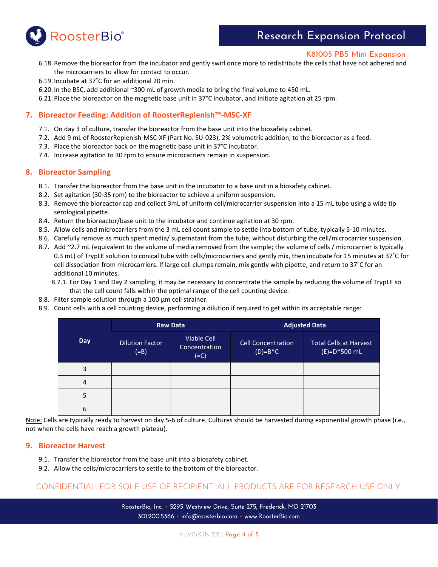

## Research Expansion Protocol

#### K81005 PBS Mini Expansion

- 6.18. Remove the bioreactor from the incubator and gently swirl once more to redistribute the cells that have not adhered and the microcarriers to allow for contact to occur.
- 6.19. Incubate at 37˚C for an additional 20 min.
- 6.20. In the BSC, add additional ~300 mL of growth media to bring the final volume to 450 mL.
- 6.21. Place the bioreactor on the magnetic base unit in 37°C incubator, and initiate agitation at 25 rpm.

### **7. Bioreactor Feeding: Addition of RoosterReplenish™-MSC-XF**

- 7.1. On day 3 of culture, transfer the bioreactor from the base unit into the biosafety cabinet.
- 7.2. Add 9 mL of RoosterReplenish-MSC-XF (Part No. SU-023), 2% volumetric addition, to the bioreactor as a feed.
- 7.3. Place the bioreactor back on the magnetic base unit in 37°C incubator.
- 7.4. Increase agitation to 30 rpm to ensure microcarriers remain in suspension.

#### **8. Bioreactor Sampling**

- 8.1. Transfer the bioreactor from the base unit in the incubator to a base unit in a biosafety cabinet.
- 8.2. Set agitation (30-35 rpm) to the bioreactor to achieve a uniform suspension.
- 8.3. Remove the bioreactor cap and collect 3mL of uniform cell/microcarrier suspension into a 15 mL tube using a wide tip serological pipette.
- 8.4. Return the bioreactor/base unit to the incubator and continue agitation at 30 rpm.
- 8.5. Allow cells and microcarriers from the 3 mL cell count sample to settle into bottom of tube, typically 5-10 minutes.
- 8.6. Carefully remove as much spent media/ supernatant from the tube, without disturbing the cell/microcarrier suspension.
- 8.7. Add ~2.7 mL (equivalent to the volume of media removed from the sample; the volume of cells / microcarrier is typically 0.3 mL) of TrypLE solution to conical tube with cells/microcarriers and gently mix, then incubate for 15 minutes at 37˚C for cell dissociation from microcarriers. If large cell clumps remain, mix gently with pipette, and return to 37˚C for an additional 10 minutes.
	- 8.7.1. For Day 1 and Day 2 sampling, it may be necessary to concentrate the sample by reducing the volume of TrypLE so that the cell count falls within the optimal range of the cell counting device.
- 8.8. Filter sample solution through a 100 µm cell strainer.
- 8.9. Count cells with a cell counting device, performing a dilution if required to get within its acceptable range:

|            |                                   | <b>Raw Data</b>                               | <b>Adjusted Data</b>                   |                                                 |  |
|------------|-----------------------------------|-----------------------------------------------|----------------------------------------|-------------------------------------------------|--|
| <b>Day</b> | <b>Dilution Factor</b><br>$( =B)$ | <b>Viable Cell</b><br>Concentration<br>$(=C)$ | <b>Cell Concentration</b><br>$(D)=B*C$ | <b>Total Cells at Harvest</b><br>$(E)=D*500$ mL |  |
| 3          |                                   |                                               |                                        |                                                 |  |
| 4          |                                   |                                               |                                        |                                                 |  |
| 5          |                                   |                                               |                                        |                                                 |  |
| 6          |                                   |                                               |                                        |                                                 |  |

Note: Cells are typically ready to harvest on day 5-6 of culture. Cultures should be harvested during exponential growth phase (i.e., not when the cells have reach a growth plateau).

#### **9. Bioreactor Harvest**

- 9.1. Transfer the bioreactor from the base unit into a biosafety cabinet.
- 9.2. Allow the cells/microcarriers to settle to the bottom of the bioreactor.

## CONFIDENTIAL. FOR SOLE USE OF RECIPIENT. ALL PRODUCTS ARE FOR RESEARCH USE ONLY.